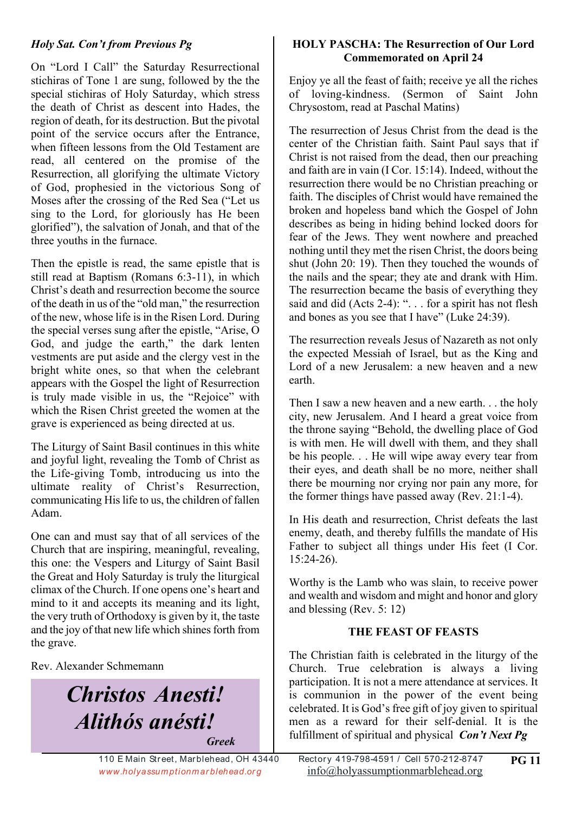## *Holy Sat. Con't from Previous Pg*

On "Lord I Call" the Saturday Resurrectional stichiras of Tone 1 are sung, followed by the the special stichiras of Holy Saturday, which stress the death of Christ as descent into Hades, the region of death, for its destruction. But the pivotal point of the service occurs after the Entrance, when fifteen lessons from the Old Testament are read, all centered on the promise of the Resurrection, all glorifying the ultimate Victory of God, prophesied in the victorious Song of Moses after the crossing of the Red Sea ("Let us sing to the Lord, for gloriously has He been glorified"), the salvation of Jonah, and that of the three youths in the furnace.

Then the epistle is read, the same epistle that is still read at Baptism (Romans 6:3-11), in which Christ's death and resurrection become the source of the death in us of the "old man," the resurrection of the new, whose life is in the Risen Lord. During the special verses sung after the epistle, "Arise, O God, and judge the earth," the dark lenten vestments are put aside and the clergy vest in the bright white ones, so that when the celebrant appears with the Gospel the light of Resurrection is truly made visible in us, the "Rejoice" with which the Risen Christ greeted the women at the grave is experienced as being directed at us.

The Liturgy of Saint Basil continues in this white and joyful light, revealing the Tomb of Christ as the Life-giving Tomb, introducing us into the ultimate reality of Christ's Resurrection, communicating His life to us, the children of fallen Adam.

One can and must say that of all services of the Church that are inspiring, meaningful, revealing, this one: the Vespers and Liturgy of Saint Basil the Great and Holy Saturday is truly the liturgical climax of the Church. If one opens one's heart and mind to it and accepts its meaning and its light, the very truth of Orthodoxy is given by it, the taste and the joy of that new life which shines forth from the grave.

Rev. Alexander Schmemann

*Christos Anesti! Alithós anésti! Greek*

## **HOLY PASCHA: The Resurrection of Our Lord Commemorated on April 24**

Enjoy ye all the feast of faith; receive ye all the riches of loving-kindness. (Sermon of Saint John Chrysostom, read at Paschal Matins)

The resurrection of Jesus Christ from the dead is the center of the Christian faith. Saint Paul says that if Christ is not raised from the dead, then our preaching and faith are in vain (I Cor. 15:14). Indeed, without the resurrection there would be no Christian preaching or faith. The disciples of Christ would have remained the broken and hopeless band which the Gospel of John describes as being in hiding behind locked doors for fear of the Jews. They went nowhere and preached nothing until they met the risen Christ, the doors being shut (John 20: 19). Then they touched the wounds of the nails and the spear; they ate and drank with Him. The resurrection became the basis of everything they said and did (Acts 2-4): "... for a spirit has not flesh and bones as you see that I have" (Luke 24:39).

The resurrection reveals Jesus of Nazareth as not only the expected Messiah of Israel, but as the King and Lord of a new Jerusalem: a new heaven and a new earth.

Then I saw a new heaven and a new earth. . . the holy city, new Jerusalem. And I heard a great voice from the throne saying "Behold, the dwelling place of God is with men. He will dwell with them, and they shall be his people. . . He will wipe away every tear from their eyes, and death shall be no more, neither shall there be mourning nor crying nor pain any more, for the former things have passed away (Rev. 21:1-4).

In His death and resurrection, Christ defeats the last enemy, death, and thereby fulfills the mandate of His Father to subject all things under His feet (I Cor. 15:24-26).

Worthy is the Lamb who was slain, to receive power and wealth and wisdom and might and honor and glory and blessing (Rev. 5: 12)

# **THE FEAST OF FEASTS**

The Christian faith is celebrated in the liturgy of the Church. True celebration is always a living participation. It is not a mere attendance at services. It is communion in the power of the event being celebrated. It is God's free gift of joy given to spiritual men as a reward for their self-denial. It is the fulfillment of spiritual and physical *Con't Next Pg*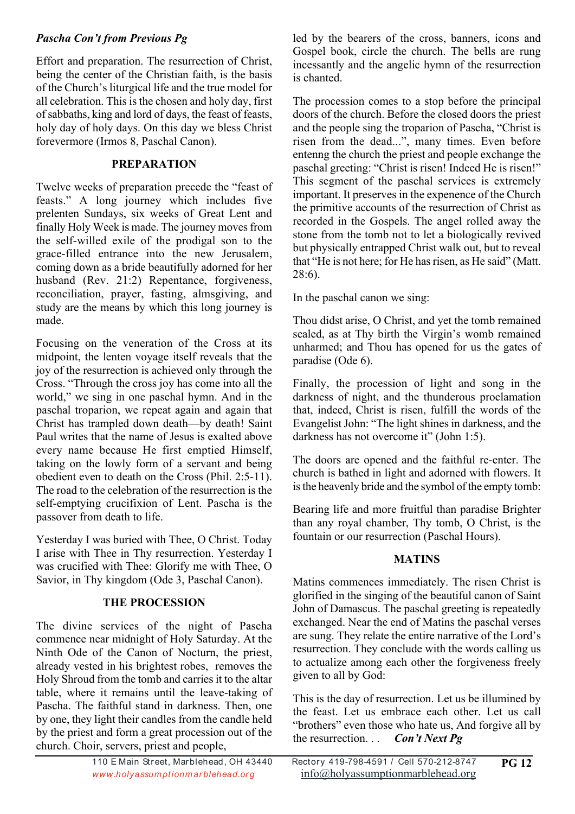# *Pascha Con't from Previous Pg*

Effort and preparation. The resurrection of Christ, being the center of the Christian faith, is the basis of the Church's liturgical life and the true model for all celebration. This is the chosen and holy day, first of sabbaths, king and lord of days, the feast of feasts, holy day of holy days. On this day we bless Christ forevermore (Irmos 8, Paschal Canon).

# **PREPARATION**

Twelve weeks of preparation precede the "feast of feasts." A long journey which includes five prelenten Sundays, six weeks of Great Lent and finally Holy Week is made. The journey moves from the self-willed exile of the prodigal son to the grace-filled entrance into the new Jerusalem, coming down as a bride beautifully adorned for her husband (Rev. 21:2) Repentance, forgiveness, reconciliation, prayer, fasting, almsgiving, and study are the means by which this long journey is made.

Focusing on the veneration of the Cross at its midpoint, the lenten voyage itself reveals that the joy of the resurrection is achieved only through the Cross. "Through the cross joy has come into all the world," we sing in one paschal hymn. And in the paschal troparion, we repeat again and again that Christ has trampled down death—by death! Saint Paul writes that the name of Jesus is exalted above every name because He first emptied Himself, taking on the lowly form of a servant and being obedient even to death on the Cross (Phil. 2:5-11). The road to the celebration of the resurrection is the self-emptying crucifixion of Lent. Pascha is the passover from death to life.

Yesterday I was buried with Thee, O Christ. Today I arise with Thee in Thy resurrection. Yesterday I was crucified with Thee: Glorify me with Thee, O Savior, in Thy kingdom (Ode 3, Paschal Canon).

# **THE PROCESSION**

The divine services of the night of Pascha commence near midnight of Holy Saturday. At the Ninth Ode of the Canon of Nocturn, the priest, already vested in his brightest robes, removes the Holy Shroud from the tomb and carries it to the altar table, where it remains until the leave-taking of Pascha. The faithful stand in darkness. Then, one by one, they light their candles from the candle held by the priest and form a great procession out of the church. Choir, servers, priest and people,

led by the bearers of the cross, banners, icons and Gospel book, circle the church. The bells are rung incessantly and the angelic hymn of the resurrection is chanted.

The procession comes to a stop before the principal doors of the church. Before the closed doors the priest and the people sing the troparion of Pascha, "Christ is risen from the dead...", many times. Even before entenng the church the priest and people exchange the paschal greeting: "Christ is risen! Indeed He is risen!" This segment of the paschal services is extremely important. It preserves in the expenence of the Church the primitive accounts of the resurrection of Christ as recorded in the Gospels. The angel rolled away the stone from the tomb not to let a biologically revived but physically entrapped Christ walk out, but to reveal that "He is not here; for He has risen, as He said" (Matt. 28:6).

In the paschal canon we sing:

Thou didst arise, O Christ, and yet the tomb remained sealed, as at Thy birth the Virgin's womb remained unharmed; and Thou has opened for us the gates of paradise (Ode 6).

Finally, the procession of light and song in the darkness of night, and the thunderous proclamation that, indeed, Christ is risen, fulfill the words of the Evangelist John: "The light shines in darkness, and the darkness has not overcome it" (John 1:5).

The doors are opened and the faithful re-enter. The church is bathed in light and adorned with flowers. It is the heavenly bride and the symbol of the empty tomb:

Bearing life and more fruitful than paradise Brighter than any royal chamber, Thy tomb, O Christ, is the fountain or our resurrection (Paschal Hours).

# **MATINS**

Matins commences immediately. The risen Christ is glorified in the singing of the beautiful canon of Saint John of Damascus. The paschal greeting is repeatedly exchanged. Near the end of Matins the paschal verses are sung. They relate the entire narrative of the Lord's resurrection. They conclude with the words calling us to actualize among each other the forgiveness freely given to all by God:

This is the day of resurrection. Let us be illumined by the feast. Let us embrace each other. Let us call "brothers" even those who hate us, And forgive all by the resurrection. . . *Con't Next Pg*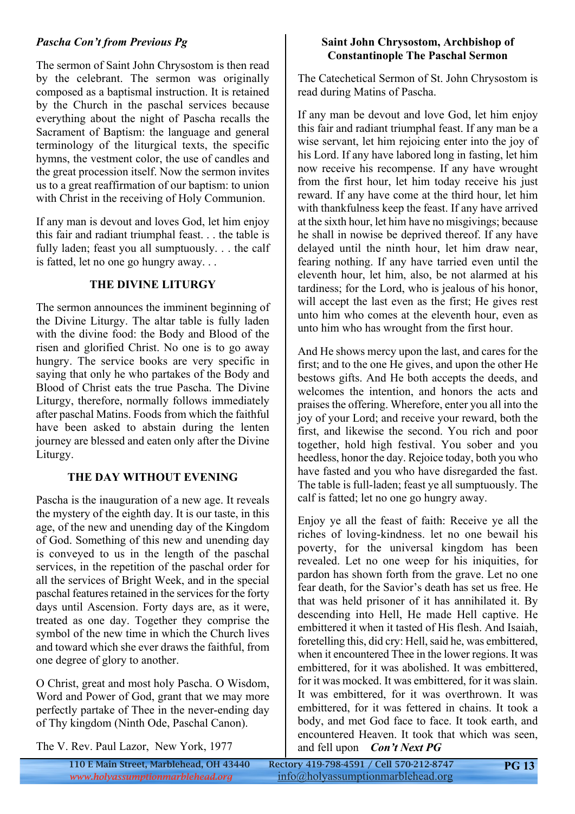## *Pascha Con't from Previous Pg*

The sermon of Saint John Chrysostom is then read by the celebrant. The sermon was originally composed as a baptismal instruction. It is retained by the Church in the paschal services because everything about the night of Pascha recalls the Sacrament of Baptism: the language and general terminology of the liturgical texts, the specific hymns, the vestment color, the use of candles and the great procession itself. Now the sermon invites us to a great reaffirmation of our baptism: to union with Christ in the receiving of Holy Communion.

If any man is devout and loves God, let him enjoy this fair and radiant triumphal feast. . . the table is fully laden; feast you all sumptuously. . . the calf is fatted, let no one go hungry away. . .

#### **THE DIVINE LITURGY**

The sermon announces the imminent beginning of the Divine Liturgy. The altar table is fully laden with the divine food: the Body and Blood of the risen and glorified Christ. No one is to go away hungry. The service books are very specific in saying that only he who partakes of the Body and Blood of Christ eats the true Pascha. The Divine Liturgy, therefore, normally follows immediately after paschal Matins. Foods from which the faithful have been asked to abstain during the lenten journey are blessed and eaten only after the Divine Liturgy.

# **THE DAY WITHOUT EVENING**

Pascha is the inauguration of a new age. It reveals the mystery of the eighth day. It is our taste, in this age, of the new and unending day of the Kingdom of God. Something of this new and unending day is conveyed to us in the length of the paschal services, in the repetition of the paschal order for all the services of Bright Week, and in the special paschal features retained in the services for the forty days until Ascension. Forty days are, as it were, treated as one day. Together they comprise the symbol of the new time in which the Church lives and toward which she ever draws the faithful, from one degree of glory to another.

O Christ, great and most holy Pascha. O Wisdom, Word and Power of God, grant that we may more perfectly partake of Thee in the never-ending day of Thy kingdom (Ninth Ode, Paschal Canon).

## **Saint John Chrysostom, Archbishop of Constantinople The Paschal Sermon**

The Catechetical Sermon of St. John Chrysostom is read during Matins of Pascha.

If any man be devout and love God, let him enjoy this fair and radiant triumphal feast. If any man be a wise servant, let him rejoicing enter into the joy of his Lord. If any have labored long in fasting, let him now receive his recompense. If any have wrought from the first hour, let him today receive his just reward. If any have come at the third hour, let him with thankfulness keep the feast. If any have arrived at the sixth hour, let him have no misgivings; because he shall in nowise be deprived thereof. If any have delayed until the ninth hour, let him draw near, fearing nothing. If any have tarried even until the eleventh hour, let him, also, be not alarmed at his tardiness; for the Lord, who is jealous of his honor, will accept the last even as the first; He gives rest unto him who comes at the eleventh hour, even as unto him who has wrought from the first hour.

And He shows mercy upon the last, and cares for the first; and to the one He gives, and upon the other He bestows gifts. And He both accepts the deeds, and welcomes the intention, and honors the acts and praises the offering. Wherefore, enter you all into the joy of your Lord; and receive your reward, both the first, and likewise the second. You rich and poor together, hold high festival. You sober and you heedless, honor the day. Rejoice today, both you who have fasted and you who have disregarded the fast. The table is full-laden; feast ye all sumptuously. The calf is fatted; let no one go hungry away.

Enjoy ye all the feast of faith: Receive ye all the riches of loving-kindness. let no one bewail his poverty, for the universal kingdom has been revealed. Let no one weep for his iniquities, for pardon has shown forth from the grave. Let no one fear death, for the Savior's death has set us free. He that was held prisoner of it has annihilated it. By descending into Hell, He made Hell captive. He embittered it when it tasted of His flesh. And Isaiah, foretelling this, did cry: Hell, said he, was embittered, when it encountered Thee in the lower regions. It was embittered, for it was abolished. It was embittered, for it was mocked. It was embittered, for it was slain. It was embittered, for it was overthrown. It was embittered, for it was fettered in chains. It took a body, and met God face to face. It took earth, and encountered Heaven. It took that which was seen, and fell upon *Con't Next PG*

The V. Rev. Paul Lazor, New York, 1977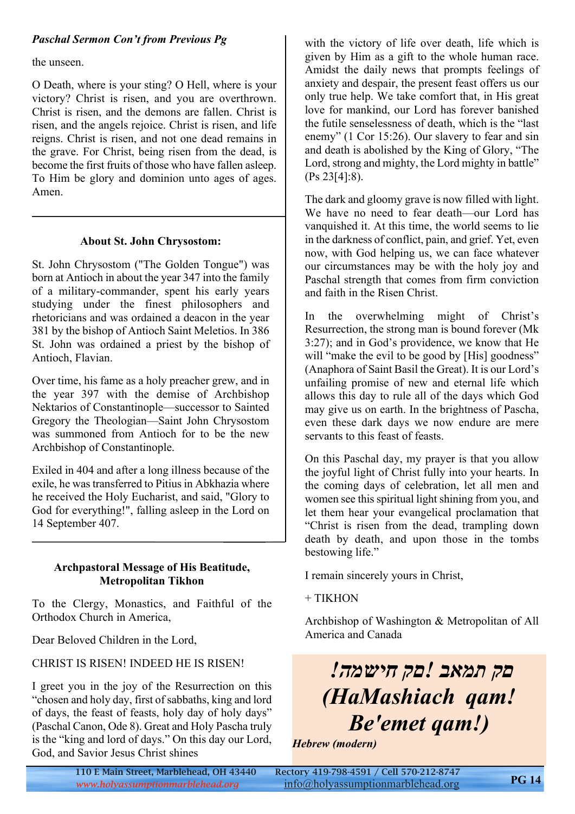# *Paschal Sermon Con't from Previous Pg*

the unseen.

O Death, where is your sting? O Hell, where is your victory? Christ is risen, and you are overthrown. Christ is risen, and the demons are fallen. Christ is risen, and the angels rejoice. Christ is risen, and life reigns. Christ is risen, and not one dead remains in the grave. For Christ, being risen from the dead, is become the first fruits of those who have fallen asleep. To Him be glory and dominion unto ages of ages. Amen.

#### **About St. John Chrysostom:**

St. John Chrysostom ("The Golden Tongue") was born at Antioch in about the year 347 into the family of a military-commander, spent his early years studying under the finest philosophers and rhetoricians and was ordained a deacon in the year 381 by the bishop of Antioch Saint Meletios. In 386 St. John was ordained a priest by the bishop of Antioch, Flavian.

Over time, his fame as a holy preacher grew, and in the year 397 with the demise of Archbishop Nektarios of Constantinople—successor to Sainted Gregory the Theologian—Saint John Chrysostom was summoned from Antioch for to be the new Archbishop of Constantinople.

Exiled in 404 and after a long illness because of the exile, he was transferred to Pitius in Abkhazia where he received the Holy Eucharist, and said, "Glory to God for everything!", falling asleep in the Lord on 14 September 407.

### **Archpastoral Message of His Beatitude, Metropolitan Tikhon**

To the Clergy, Monastics, and Faithful of the Orthodox Church in America,

Dear Beloved Children in the Lord,

CHRIST IS RISEN! INDEED HE IS RISEN!

I greet you in the joy of the Resurrection on this "chosen and holy day, first of sabbaths, king and lord of days, the feast of feasts, holy day of holy days" (Paschal Canon, Ode 8). Great and Holy Pascha truly is the "king and lord of days." On this day our Lord, God, and Savior Jesus Christ shines

with the victory of life over death, life which is given by Him as a gift to the whole human race. Amidst the daily news that prompts feelings of anxiety and despair, the present feast offers us our only true help. We take comfort that, in His great love for mankind, our Lord has forever banished the futile senselessness of death, which is the "last enemy" (1 Cor 15:26). Our slavery to fear and sin and death is abolished by the King of Glory, "The Lord, strong and mighty, the Lord mighty in battle" (Ps 23[4]:8).

The dark and gloomy grave is now filled with light. We have no need to fear death—our Lord has vanquished it. At this time, the world seems to lie in the darkness of conflict, pain, and grief. Yet, even now, with God helping us, we can face whatever our circumstances may be with the holy joy and Paschal strength that comes from firm conviction and faith in the Risen Christ.

In the overwhelming might of Christ's Resurrection, the strong man is bound forever (Mk 3:27); and in God's providence, we know that He will "make the evil to be good by [His] goodness" (Anaphora of Saint Basil the Great). It is our Lord's unfailing promise of new and eternal life which allows this day to rule all of the days which God may give us on earth. In the brightness of Pascha, even these dark days we now endure are mere servants to this feast of feasts.

On this Paschal day, my prayer is that you allow the joyful light of Christ fully into your hearts. In the coming days of celebration, let all men and women see this spiritual light shining from you, and let them hear your evangelical proclamation that "Christ is risen from the dead, trampling down death by death, and upon those in the tombs bestowing life."

I remain sincerely yours in Christ,

+ TIKHON

Archbishop of Washington & Metropolitan of All America and Canada

*םק תמאב !םק חישמה! (HaMashiach qam! Be'emet qam!)*

*Hebrew (modern)*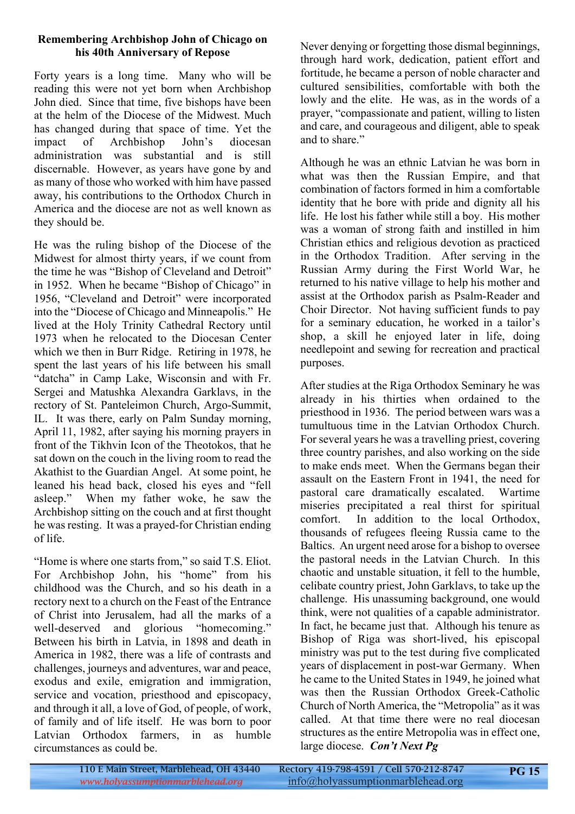#### **Remembering Archbishop John of Chicago on his 40th Anniversary of Repose**

Forty years is a long time. Many who will be reading this were not yet born when Archbishop John died. Since that time, five bishops have been at the helm of the Diocese of the Midwest. Much has changed during that space of time. Yet the impact of Archbishop John's diocesan administration was substantial and is still discernable. However, as years have gone by and as many of those who worked with him have passed away, his contributions to the Orthodox Church in America and the diocese are not as well known as they should be.

He was the ruling bishop of the Diocese of the Midwest for almost thirty years, if we count from the time he was "Bishop of Cleveland and Detroit" in 1952. When he became "Bishop of Chicago" in 1956, "Cleveland and Detroit" were incorporated into the "Diocese of Chicago and Minneapolis." He lived at the Holy Trinity Cathedral Rectory until 1973 when he relocated to the Diocesan Center which we then in Burr Ridge. Retiring in 1978, he spent the last years of his life between his small "datcha" in Camp Lake, Wisconsin and with Fr. Sergei and Matushka Alexandra Garklavs, in the rectory of St. Panteleimon Church, Argo-Summit, IL. It was there, early on Palm Sunday morning, April 11, 1982, after saying his morning prayers in front of the Tikhvin Icon of the Theotokos, that he sat down on the couch in the living room to read the Akathist to the Guardian Angel. At some point, he leaned his head back, closed his eyes and "fell asleep." When my father woke, he saw the Archbishop sitting on the couch and at first thought he was resting. It was a prayed-for Christian ending of life.

"Home is where one starts from," so said T.S. Eliot. For Archbishop John, his "home" from his childhood was the Church, and so his death in a rectory next to a church on the Feast of the Entrance of Christ into Jerusalem, had all the marks of a well-deserved and glorious "homecoming." Between his birth in Latvia, in 1898 and death in America in 1982, there was a life of contrasts and challenges, journeys and adventures, war and peace, exodus and exile, emigration and immigration, service and vocation, priesthood and episcopacy, and through it all, a love of God, of people, of work, of family and of life itself. He was born to poor Latvian Orthodox farmers, in as humble circumstances as could be.

Never denying or forgetting those dismal beginnings, through hard work, dedication, patient effort and fortitude, he became a person of noble character and cultured sensibilities, comfortable with both the lowly and the elite. He was, as in the words of a prayer, "compassionate and patient, willing to listen and care, and courageous and diligent, able to speak and to share."

Although he was an ethnic Latvian he was born in what was then the Russian Empire, and that combination of factors formed in him a comfortable identity that he bore with pride and dignity all his life. He lost his father while still a boy. His mother was a woman of strong faith and instilled in him Christian ethics and religious devotion as practiced in the Orthodox Tradition. After serving in the Russian Army during the First World War, he returned to his native village to help his mother and assist at the Orthodox parish as Psalm-Reader and Choir Director. Not having sufficient funds to pay for a seminary education, he worked in a tailor's shop, a skill he enjoyed later in life, doing needlepoint and sewing for recreation and practical purposes.

After studies at the Riga Orthodox Seminary he was already in his thirties when ordained to the priesthood in 1936. The period between wars was a tumultuous time in the Latvian Orthodox Church. For several years he was a travelling priest, covering three country parishes, and also working on the side to make ends meet. When the Germans began their assault on the Eastern Front in 1941, the need for pastoral care dramatically escalated. Wartime miseries precipitated a real thirst for spiritual comfort. In addition to the local Orthodox, thousands of refugees fleeing Russia came to the Baltics. An urgent need arose for a bishop to oversee the pastoral needs in the Latvian Church. In this chaotic and unstable situation, it fell to the humble, celibate country priest, John Garklavs, to take up the challenge. His unassuming background, one would think, were not qualities of a capable administrator. In fact, he became just that. Although his tenure as Bishop of Riga was short-lived, his episcopal ministry was put to the test during five complicated years of displacement in post-war Germany. When he came to the United States in 1949, he joined what was then the Russian Orthodox Greek-Catholic Church of North America, the "Metropolia" as it was called. At that time there were no real diocesan structures as the entire Metropolia was in effect one, large diocese. *Con't Next Pg*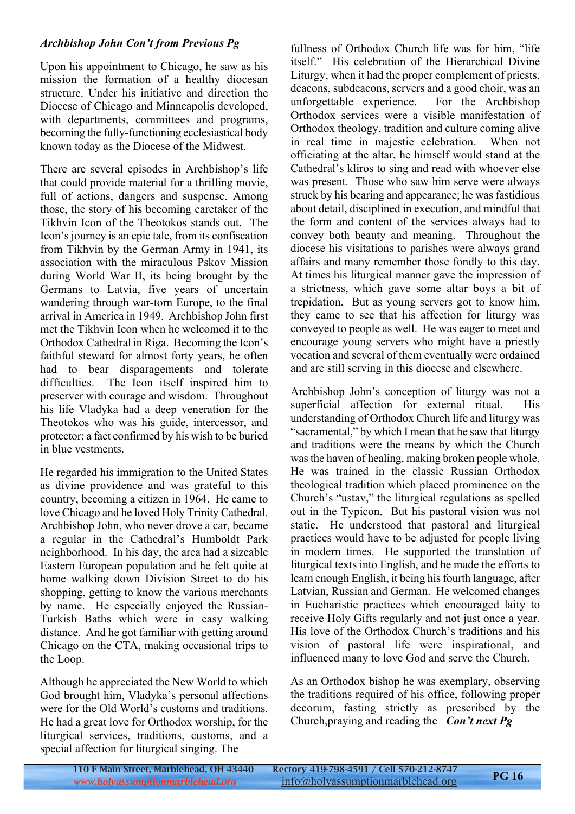## *Archbishop John Con't from Previous Pg*

Upon his appointment to Chicago, he saw as his mission the formation of a healthy diocesan structure. Under his initiative and direction the Diocese of Chicago and Minneapolis developed, with departments, committees and programs, becoming the fully-functioning ecclesiastical body known today as the Diocese of the Midwest.

There are several episodes in Archbishop's life that could provide material for a thrilling movie, full of actions, dangers and suspense. Among those, the story of his becoming caretaker of the Tikhvin Icon of the Theotokos stands out. The Icon's journey is an epic tale, from its confiscation from Tikhvin by the German Army in 1941, its association with the miraculous Pskov Mission during World War II, its being brought by the Germans to Latvia, five years of uncertain wandering through war-torn Europe, to the final arrival in America in 1949. Archbishop John first met the Tikhvin Icon when he welcomed it to the Orthodox Cathedral in Riga. Becoming the Icon's faithful steward for almost forty years, he often had to bear disparagements and tolerate difficulties. The Icon itself inspired him to preserver with courage and wisdom. Throughout his life Vladyka had a deep veneration for the Theotokos who was his guide, intercessor, and protector; a fact confirmed by his wish to be buried in blue vestments.

He regarded his immigration to the United States as divine providence and was grateful to this country, becoming a citizen in 1964. He came to love Chicago and he loved Holy Trinity Cathedral. Archbishop John, who never drove a car, became a regular in the Cathedral's Humboldt Park neighborhood. In his day, the area had a sizeable Eastern European population and he felt quite at home walking down Division Street to do his shopping, getting to know the various merchants by name. He especially enjoyed the Russian-Turkish Baths which were in easy walking distance. And he got familiar with getting around Chicago on the CTA, making occasional trips to the Loop.

Although he appreciated the New World to which God brought him, Vladyka's personal affections were for the Old World's customs and traditions. He had a great love for Orthodox worship, for the liturgical services, traditions, customs, and a special affection for liturgical singing. The

fullness of Orthodox Church life was for him, "life itself." His celebration of the Hierarchical Divine Liturgy, when it had the proper complement of priests, deacons, subdeacons, servers and a good choir, was an unforgettable experience. For the Archbishop Orthodox services were a visible manifestation of Orthodox theology, tradition and culture coming alive in real time in majestic celebration. When not officiating at the altar, he himself would stand at the Cathedral's kliros to sing and read with whoever else was present. Those who saw him serve were always struck by his bearing and appearance; he was fastidious about detail, disciplined in execution, and mindful that the form and content of the services always had to convey both beauty and meaning. Throughout the diocese his visitations to parishes were always grand affairs and many remember those fondly to this day. At times his liturgical manner gave the impression of a strictness, which gave some altar boys a bit of trepidation. But as young servers got to know him, they came to see that his affection for liturgy was conveyed to people as well. He was eager to meet and encourage young servers who might have a priestly vocation and several of them eventually were ordained and are still serving in this diocese and elsewhere.

Archbishop John's conception of liturgy was not a superficial affection for external ritual. His understanding of Orthodox Church life and liturgy was "sacramental," by which I mean that he saw that liturgy and traditions were the means by which the Church was the haven of healing, making broken people whole. He was trained in the classic Russian Orthodox theological tradition which placed prominence on the Church's "ustav," the liturgical regulations as spelled out in the Typicon. But his pastoral vision was not static. He understood that pastoral and liturgical practices would have to be adjusted for people living in modern times. He supported the translation of liturgical texts into English, and he made the efforts to learn enough English, it being his fourth language, after Latvian, Russian and German. He welcomed changes in Eucharistic practices which encouraged laity to receive Holy Gifts regularly and not just once a year. His love of the Orthodox Church's traditions and his vision of pastoral life were inspirational, and influenced many to love God and serve the Church.

As an Orthodox bishop he was exemplary, observing the traditions required of his office, following proper decorum, fasting strictly as prescribed by the Church,praying and reading the *Con't next Pg*